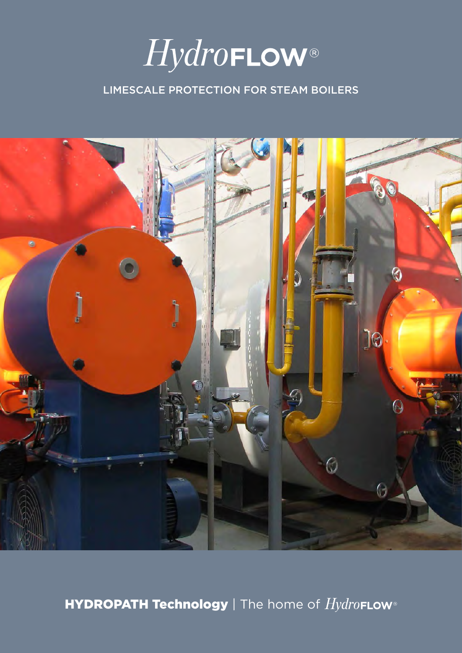

## LIMESCALE PROTECTION FOR STEAM BOILERS



HYDROPATH Technology | The home of  $Hydro$ FLOW®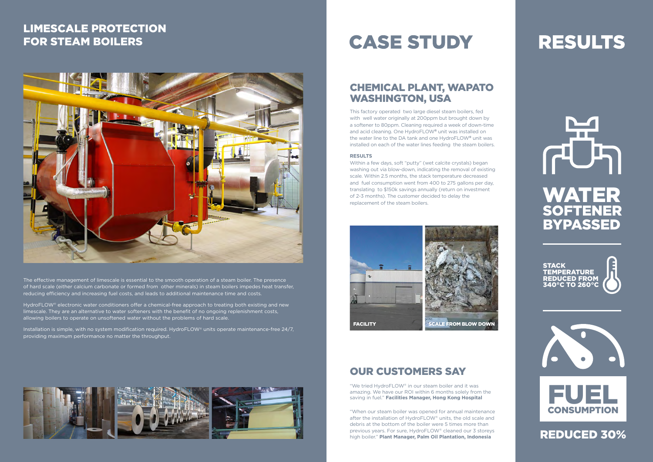



The effective management of limescale is essential to the smooth operation of a steam boiler. The presence of hard scale (either calcium carbonate or formed from other minerals) in steam boilers impedes heat transfer, reducing efficiency and increasing fuel costs, and leads to additional maintenance time and costs.

HydroFLOW® electronic water conditioners offer a chemical-free approach to treating both existing and new limescale. They are an alternative to water softeners with the benefit of no ongoing replenishment costs, allowing boilers to operate on unsoftened water without the problems of hard scale.

Installation is simple, with no system modification required. HydroFLOW® units operate maintenance-free 24/7, providing maximum performance no matter the throughput.



# **CASE STUDY**

## LIMESCALE PROTECTION FOR STEAM BOILERS



## CHEMICAL PLANT, WAPATO WASHINGTON, USA

This factory operated two large diesel steam boilers, fed with well water originally at 200ppm but brought down by a softener to 80ppm. Cleaning required a week of down-time and acid cleaning. One HydroFLOW**®** unit was installed on the water line to the DA tank and one HydroFLOW**®** unit was installed on each of the water lines feeding the steam boilers.

#### **RESULTS**

Within a few days, soft "putty" (wet calcite crystals) began washing out via blow-down, indicating the removal of existing scale. Within 2.5 months, the stack temperature decreased and fuel consumption went from 400 to 275 gallons per day, translating to \$150k savings annually (return on investment of 2-3 months). The customer decided to delay the replacement of the steam boilers.

## OUR CUSTOMERS SAY

"We tried HydroFLOW® in our steam boiler and it was amazing. We have our ROI within 6 months solely from the saving in fuel." **Facilities Manager, Hong Kong Hospital**

"When our steam boiler was opened for annual maintenance after the installation of HydroFLOW® units, the old scale and debris at the bottom of the boiler were 5 times more than previous years. For sure, HydroFLOW® cleaned our 3 storeys high boiler." **Plant Manager, Palm Oil Plantation, Indonesia**

# **RESULTS**